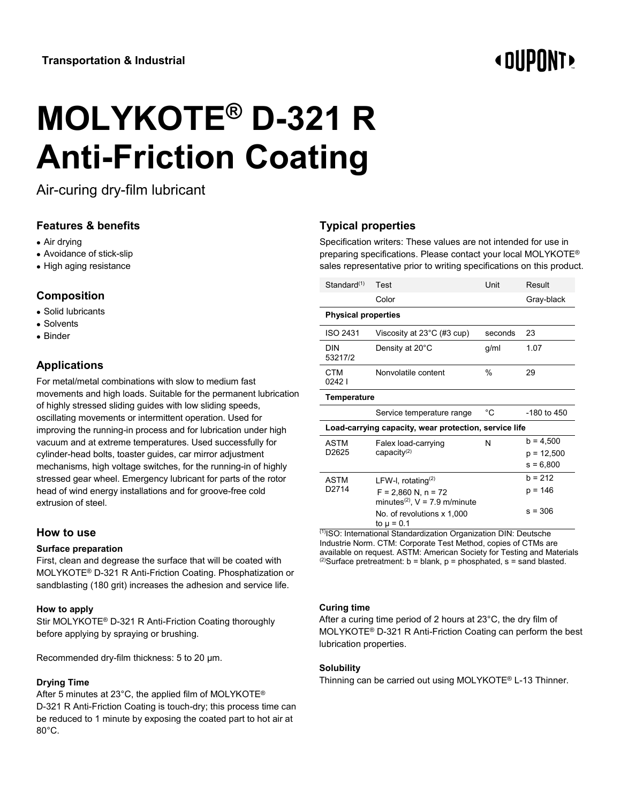# **« OUPONT**

# **MOLYKOTE® D-321 R Anti-Friction Coating**

Air-curing dry-film lubricant

## **Features & benefits**

- Air drying
- Avoidance of stick-slip
- High aging resistance

### **Composition**

- Solid lubricants
- Solvents
- Binder

# **Applications**

For metal/metal combinations with slow to medium fast movements and high loads. Suitable for the permanent lubrication of highly stressed sliding guides with low sliding speeds, oscillating movements or intermittent operation. Used for improving the running-in process and for lubrication under high vacuum and at extreme temperatures. Used successfully for cylinder-head bolts, toaster guides, car mirror adjustment mechanisms, high voltage switches, for the running-in of highly stressed gear wheel. Emergency lubricant for parts of the rotor head of wind energy installations and for groove-free cold extrusion of steel.

#### **How to use**

#### **Surface preparation**

First, clean and degrease the surface that will be coated with MOLYKOTE® D-321 R Anti-Friction Coating. Phosphatization or sandblasting (180 grit) increases the adhesion and service life.

#### **How to apply**

Stir MOLYKOTE® D-321 R Anti-Friction Coating thoroughly before applying by spraying or brushing.

Recommended dry-film thickness: 5 to 20 µm.

#### **Drying Time**

After 5 minutes at 23°C, the applied film of MOLYKOTE® D-321 R Anti-Friction Coating is touch-dry; this process time can be reduced to 1 minute by exposing the coated part to hot air at 80°C.

# **Typical properties**

Specification writers: These values are not intended for use in preparing specifications. Please contact your local MOLYKOTE® sales representative prior to writing specifications on this product.

| Test                                                                                                                        | Unit           | Result                                     |
|-----------------------------------------------------------------------------------------------------------------------------|----------------|--------------------------------------------|
| Color                                                                                                                       |                | Gray-black                                 |
| <b>Physical properties</b>                                                                                                  |                |                                            |
| Viscosity at $23^{\circ}$ C (#3 cup)                                                                                        | seconds        | 23                                         |
| Density at 20°C                                                                                                             | g/ml           | 1.07                                       |
| Nonvolatile content                                                                                                         | $\frac{0}{0}$  | 29                                         |
| Temperature                                                                                                                 |                |                                            |
| Service temperature range                                                                                                   | $^{\circ}$ C   | -180 to 450                                |
| Load-carrying capacity, wear protection, service life                                                                       |                |                                            |
| Falex load-carrying<br>capacity $(2)$                                                                                       | N              | $b = 4,500$<br>$p = 12,500$<br>$s = 6,800$ |
| LFW-I, rotating $(2)$<br>$F = 2,860$ N, n = 72<br>minutes <sup>(2)</sup> , $V = 7.9$ m/minute<br>No. of revolutions x 1,000 |                | $h = 212$<br>p = 146<br>$s = 306$          |
|                                                                                                                             | to $\mu = 0.1$ |                                            |

(1)ISO: International Standardization Organization DIN: Deutsche Industrie Norm. CTM: Corporate Test Method, copies of CTMs are available on request. ASTM: American Society for Testing and Materials <sup>(2)</sup>Surface pretreatment:  $b = blank$ ,  $p = phosphate$ ,  $s = sand$  blasted.

#### **Curing time**

After a curing time period of 2 hours at 23°C, the dry film of MOLYKOTE® D-321 R Anti-Friction Coating can perform the best lubrication properties.

#### **Solubility**

Thinning can be carried out using MOLYKOTE® L-13 Thinner.